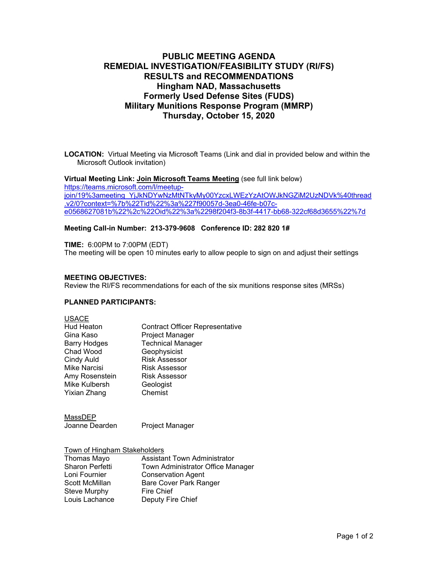# **PUBLIC MEETING AGENDA REMEDIAL INVESTIGATION/FEASIBILITY STUDY (RI/FS) RESULTS and RECOMMENDATIONS Hingham NAD, Massachusetts Formerly Used Defense Sites (FUDS) Military Munitions Response Program (MMRP) Thursday, October 15, 2020**

**LOCATION:** Virtual Meeting via Microsoft Teams (Link and dial in provided below and within the Microsoft Outlook invitation)

#### **Virtual Meeting Link: Join Microsoft Teams Meeting** (see full link below)

https://teams.microsoft.com/l/meetupjoin/19%3ameeting\_YjJkNDYwNzMtNTkyMy00YzcxLWEzYzAtOWJkNGZiM2UzNDVk%40thread .v2/0?context=%7b%22Tid%22%3a%227f90057d-3ea0-46fe-b07ce0568627081b%22%2c%22Oid%22%3a%2298f204f3-8b3f-4417-bb68-322cf68d3655%22%7d

#### **Meeting Call-in Number: 213-379-9608 Conference ID: 282 820 1#**

**TIME:** 6:00PM to 7:00PM (EDT) The meeting will be open 10 minutes early to allow people to sign on and adjust their settings

#### **MEETING OBJECTIVES:**

Review the RI/FS recommendations for each of the six munitions response sites (MRSs)

#### **PLANNED PARTICIPANTS:**

| <b>USACE</b>        |                                        |
|---------------------|----------------------------------------|
| <b>Hud Heaton</b>   | <b>Contract Officer Representative</b> |
| Gina Kaso           | Project Manager                        |
| <b>Barry Hodges</b> | <b>Technical Manager</b>               |
| Chad Wood           | Geophysicist                           |
| Cindy Auld          | <b>Risk Assessor</b>                   |
| <b>Mike Narcisi</b> | <b>Risk Assessor</b>                   |
| Amy Rosenstein      | <b>Risk Assessor</b>                   |
| Mike Kulbersh       | Geologist                              |
| Yixian Zhang        | Chemist                                |

MassDEP Joanne Dearden Project Manager

Town of Hingham Stakeholders Thomas Mayo Assistant Town Administrator Sharon Perfetti Town Administrator Office Manager<br>
Loni Fournier Conservation Agent **Conservation Agent** Scott McMillan Bare Cover Park Ranger<br>Steve Murphy Bire Chief Steve Murphy<br>Louis Lachance Deputy Fire Chief